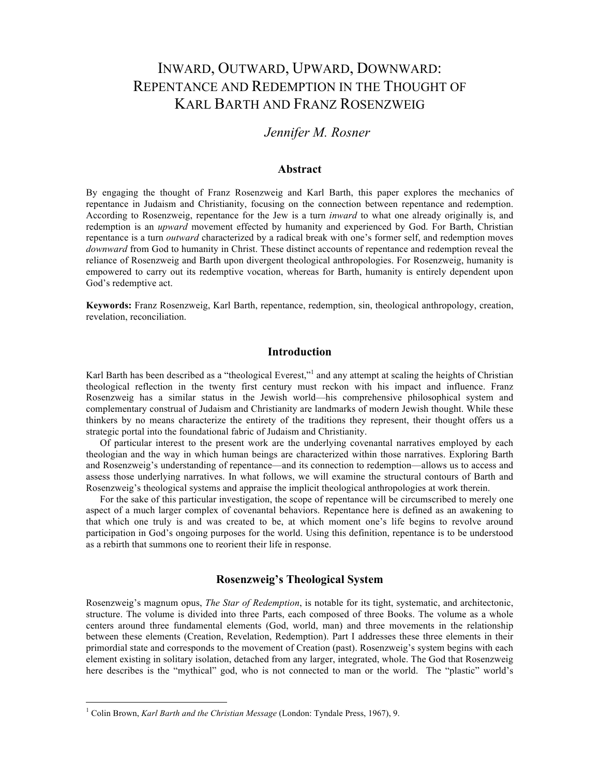# INWARD, OUTWARD, UPWARD, DOWNWARD: REPENTANCE AND REDEMPTION IN THE THOUGHT OF KARL BARTH AND FRANZ ROSENZWEIG

# *Jennifer M. Rosner*

# **Abstract**

By engaging the thought of Franz Rosenzweig and Karl Barth, this paper explores the mechanics of repentance in Judaism and Christianity, focusing on the connection between repentance and redemption. According to Rosenzweig, repentance for the Jew is a turn *inward* to what one already originally is, and redemption is an *upward* movement effected by humanity and experienced by God. For Barth, Christian repentance is a turn *outward* characterized by a radical break with one's former self, and redemption moves *downward* from God to humanity in Christ. These distinct accounts of repentance and redemption reveal the reliance of Rosenzweig and Barth upon divergent theological anthropologies. For Rosenzweig, humanity is empowered to carry out its redemptive vocation, whereas for Barth, humanity is entirely dependent upon God's redemptive act.

**Keywords:** Franz Rosenzweig, Karl Barth, repentance, redemption, sin, theological anthropology, creation, revelation, reconciliation.

#### **Introduction**

Karl Barth has been described as a "theological Everest,"<sup>1</sup> and any attempt at scaling the heights of Christian theological reflection in the twenty first century must reckon with his impact and influence. Franz Rosenzweig has a similar status in the Jewish world—his comprehensive philosophical system and complementary construal of Judaism and Christianity are landmarks of modern Jewish thought. While these thinkers by no means characterize the entirety of the traditions they represent, their thought offers us a strategic portal into the foundational fabric of Judaism and Christianity.

Of particular interest to the present work are the underlying covenantal narratives employed by each theologian and the way in which human beings are characterized within those narratives. Exploring Barth and Rosenzweig's understanding of repentance—and its connection to redemption—allows us to access and assess those underlying narratives. In what follows, we will examine the structural contours of Barth and Rosenzweig's theological systems and appraise the implicit theological anthropologies at work therein.

For the sake of this particular investigation, the scope of repentance will be circumscribed to merely one aspect of a much larger complex of covenantal behaviors. Repentance here is defined as an awakening to that which one truly is and was created to be, at which moment one's life begins to revolve around participation in God's ongoing purposes for the world. Using this definition, repentance is to be understood as a rebirth that summons one to reorient their life in response.

# **Rosenzweig's Theological System**

Rosenzweig's magnum opus, *The Star of Redemption*, is notable for its tight, systematic, and architectonic, structure. The volume is divided into three Parts, each composed of three Books. The volume as a whole centers around three fundamental elements (God, world, man) and three movements in the relationship between these elements (Creation, Revelation, Redemption). Part I addresses these three elements in their primordial state and corresponds to the movement of Creation (past). Rosenzweig's system begins with each element existing in solitary isolation, detached from any larger, integrated, whole. The God that Rosenzweig here describes is the "mythical" god, who is not connected to man or the world. The "plastic" world's

 $\frac{1}{1}$ Colin Brown, *Karl Barth and the Christian Message* (London: Tyndale Press, 1967), 9.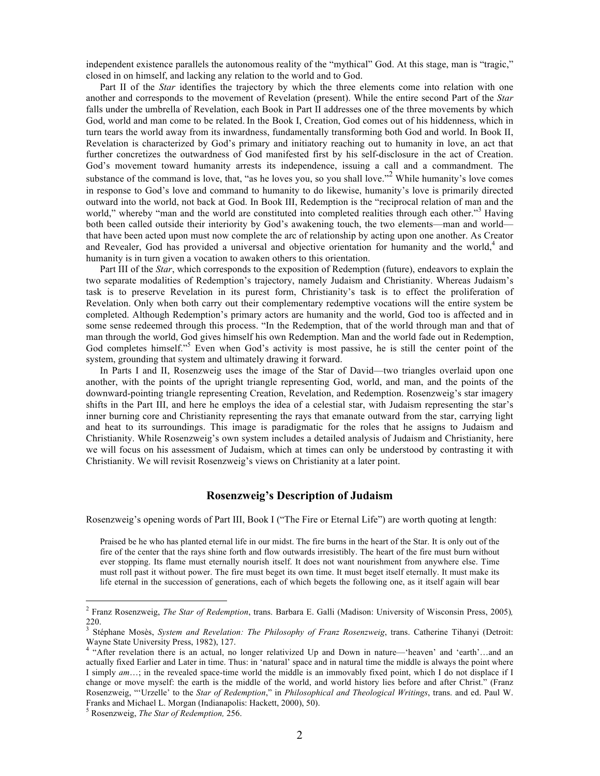independent existence parallels the autonomous reality of the "mythical" God. At this stage, man is "tragic," closed in on himself, and lacking any relation to the world and to God.

Part II of the *Star* identifies the trajectory by which the three elements come into relation with one another and corresponds to the movement of Revelation (present). While the entire second Part of the *Star* falls under the umbrella of Revelation, each Book in Part II addresses one of the three movements by which God, world and man come to be related. In the Book I, Creation, God comes out of his hiddenness, which in turn tears the world away from its inwardness, fundamentally transforming both God and world. In Book II, Revelation is characterized by God's primary and initiatory reaching out to humanity in love, an act that further concretizes the outwardness of God manifested first by his self-disclosure in the act of Creation. God's movement toward humanity arrests its independence, issuing a call and a commandment. The substance of the command is love, that, "as he loves you, so you shall love."<sup>2</sup> While humanity's love comes in response to God's love and command to humanity to do likewise, humanity's love is primarily directed outward into the world, not back at God. In Book III, Redemption is the "reciprocal relation of man and the world," whereby "man and the world are constituted into completed realities through each other."<sup>3</sup> Having both been called outside their interiority by God's awakening touch, the two elements—man and world that have been acted upon must now complete the arc of relationship by acting upon one another. As Creator and Revealer, God has provided a universal and objective orientation for humanity and the world,<sup>4</sup> and humanity is in turn given a vocation to awaken others to this orientation.

Part III of the *Star*, which corresponds to the exposition of Redemption (future), endeavors to explain the two separate modalities of Redemption's trajectory, namely Judaism and Christianity. Whereas Judaism's task is to preserve Revelation in its purest form, Christianity's task is to effect the proliferation of Revelation. Only when both carry out their complementary redemptive vocations will the entire system be completed. Although Redemption's primary actors are humanity and the world, God too is affected and in some sense redeemed through this process. "In the Redemption, that of the world through man and that of man through the world, God gives himself his own Redemption. Man and the world fade out in Redemption, God completes himself."<sup>5</sup> Even when God's activity is most passive, he is still the center point of the system, grounding that system and ultimately drawing it forward.

In Parts I and II, Rosenzweig uses the image of the Star of David—two triangles overlaid upon one another, with the points of the upright triangle representing God, world, and man, and the points of the downward-pointing triangle representing Creation, Revelation, and Redemption. Rosenzweig's star imagery shifts in the Part III, and here he employs the idea of a celestial star, with Judaism representing the star's inner burning core and Christianity representing the rays that emanate outward from the star, carrying light and heat to its surroundings. This image is paradigmatic for the roles that he assigns to Judaism and Christianity. While Rosenzweig's own system includes a detailed analysis of Judaism and Christianity, here we will focus on his assessment of Judaism, which at times can only be understood by contrasting it with Christianity. We will revisit Rosenzweig's views on Christianity at a later point.

# **Rosenzweig's Description of Judaism**

Rosenzweig's opening words of Part III, Book I ("The Fire or Eternal Life") are worth quoting at length:

Praised be he who has planted eternal life in our midst. The fire burns in the heart of the Star. It is only out of the fire of the center that the rays shine forth and flow outwards irresistibly. The heart of the fire must burn without ever stopping. Its flame must eternally nourish itself. It does not want nourishment from anywhere else. Time must roll past it without power. The fire must beget its own time. It must beget itself eternally. It must make its life eternal in the succession of generations, each of which begets the following one, as it itself again will bear

 <sup>2</sup> Franz Rosenzweig, *The Star of Redemption*, trans. Barbara E. Galli (Madison: University of Wisconsin Press, 2005)*,*  220.

<sup>3</sup> Stéphane Mosès, *System and Revelation: The Philosophy of Franz Rosenzweig*, trans. Catherine Tihanyi (Detroit: Wayne State University Press, 1982), 127.

<sup>4</sup> "After revelation there is an actual, no longer relativized Up and Down in nature—'heaven' and 'earth'…and an actually fixed Earlier and Later in time. Thus: in 'natural' space and in natural time the middle is always the point where I simply *am*…; in the revealed space-time world the middle is an immovably fixed point, which I do not displace if I change or move myself: the earth is the middle of the world, and world history lies before and after Christ." (Franz Rosenzweig, "'Urzelle' to the *Star of Redemption*," in *Philosophical and Theological Writings*, trans. and ed. Paul W. Franks and Michael L. Morgan (Indianapolis: Hackett, 2000), 50). <sup>5</sup>

Rosenzweig, *The Star of Redemption,* 256.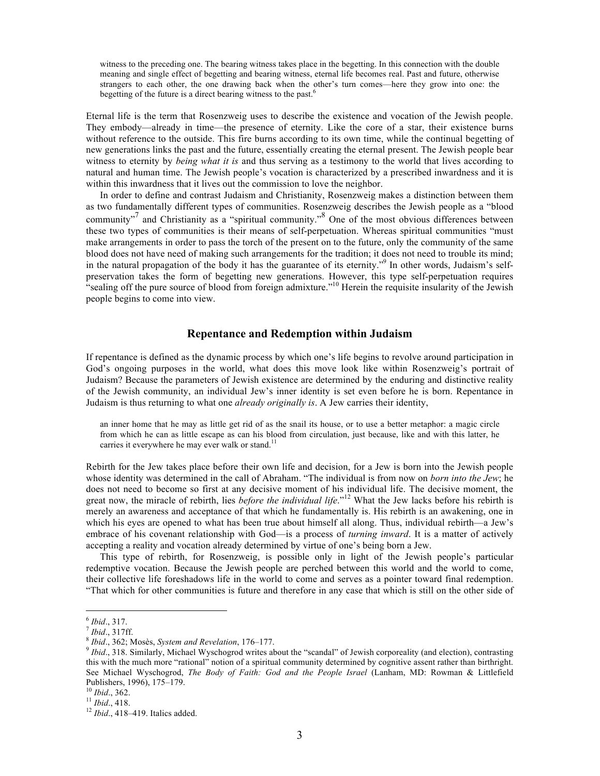witness to the preceding one. The bearing witness takes place in the begetting. In this connection with the double meaning and single effect of begetting and bearing witness, eternal life becomes real. Past and future, otherwise strangers to each other, the one drawing back when the other's turn comes—here they grow into one: the begetting of the future is a direct bearing witness to the past.<sup>6</sup>

Eternal life is the term that Rosenzweig uses to describe the existence and vocation of the Jewish people. They embody—already in time—the presence of eternity. Like the core of a star, their existence burns without reference to the outside. This fire burns according to its own time, while the continual begetting of new generations links the past and the future, essentially creating the eternal present. The Jewish people bear witness to eternity by *being what it is* and thus serving as a testimony to the world that lives according to natural and human time. The Jewish people's vocation is characterized by a prescribed inwardness and it is within this inwardness that it lives out the commission to love the neighbor.

In order to define and contrast Judaism and Christianity, Rosenzweig makes a distinction between them as two fundamentally different types of communities. Rosenzweig describes the Jewish people as a "blood community"<sup>7</sup> and Christianity as a "spiritual community."<sup>8</sup> One of the most obvious differences between these two types of communities is their means of self-perpetuation. Whereas spiritual communities "must make arrangements in order to pass the torch of the present on to the future, only the community of the same blood does not have need of making such arrangements for the tradition; it does not need to trouble its mind; in the natural propagation of the body it has the guarantee of its eternity."<sup>9</sup> In other words, Judaism's selfpreservation takes the form of begetting new generations. However, this type self-perpetuation requires "sealing off the pure source of blood from foreign admixture."<sup>10</sup> Herein the requisite insularity of the Jewish people begins to come into view.

#### **Repentance and Redemption within Judaism**

If repentance is defined as the dynamic process by which one's life begins to revolve around participation in God's ongoing purposes in the world, what does this move look like within Rosenzweig's portrait of Judaism? Because the parameters of Jewish existence are determined by the enduring and distinctive reality of the Jewish community, an individual Jew's inner identity is set even before he is born. Repentance in Judaism is thus returning to what one *already originally is*. A Jew carries their identity,

an inner home that he may as little get rid of as the snail its house, or to use a better metaphor: a magic circle from which he can as little escape as can his blood from circulation, just because, like and with this latter, he carries it everywhere he may ever walk or stand.<sup>11</sup>

Rebirth for the Jew takes place before their own life and decision, for a Jew is born into the Jewish people whose identity was determined in the call of Abraham. "The individual is from now on *born into the Jew*; he does not need to become so first at any decisive moment of his individual life. The decisive moment, the great now, the miracle of rebirth, lies *before the individual life*."12 What the Jew lacks before his rebirth is merely an awareness and acceptance of that which he fundamentally is. His rebirth is an awakening, one in which his eyes are opened to what has been true about himself all along. Thus, individual rebirth—a Jew's embrace of his covenant relationship with God—is a process of *turning inward*. It is a matter of actively accepting a reality and vocation already determined by virtue of one's being born a Jew.

This type of rebirth, for Rosenzweig, is possible only in light of the Jewish people's particular redemptive vocation. Because the Jewish people are perched between this world and the world to come, their collective life foreshadows life in the world to come and serves as a pointer toward final redemption. "That which for other communities is future and therefore in any case that which is still on the other side of

<sup>&</sup>lt;sup>6</sup> Ibid., 317.<br><sup>7</sup> Ibid., 317ff.<br><sup>8</sup> Ibid., 362; Mosès, *System and Revelation*, 176–177.<br><sup>9</sup> Ibid., 318. Similarly, Michael Wyschogrod writes about the "scandal" of Jewish corporeality (and election), contrasting this with the much more "rational" notion of a spiritual community determined by cognitive assent rather than birthright. See Michael Wyschogrod, *The Body of Faith: God and the People Israel* (Lanham, MD: Rowman & Littlefield Publishers, 1996), 175–179. <sup>10</sup> *Ibid*., 362. <sup>11</sup> *Ibid*., 418. <sup>12</sup> *Ibid*., 418–419. Italics added.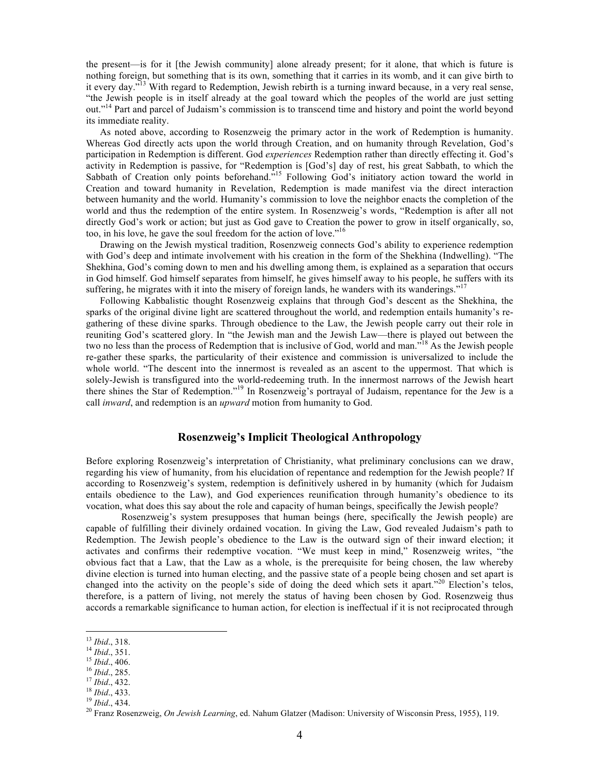the present—is for it [the Jewish community] alone already present; for it alone, that which is future is nothing foreign, but something that is its own, something that it carries in its womb, and it can give birth to it every day."<sup>13</sup> With regard to Redemption, Jewish rebirth is a turning inward because, in a very real sense, "the Jewish people is in itself already at the goal toward which the peoples of the world are just setting out."14 Part and parcel of Judaism's commission is to transcend time and history and point the world beyond its immediate reality.

As noted above, according to Rosenzweig the primary actor in the work of Redemption is humanity. Whereas God directly acts upon the world through Creation, and on humanity through Revelation, God's participation in Redemption is different. God *experiences* Redemption rather than directly effecting it. God's activity in Redemption is passive, for "Redemption is [God's] day of rest, his great Sabbath, to which the Sabbath of Creation only points beforehand.<sup>515</sup> Following God's initiatory action toward the world in Creation and toward humanity in Revelation, Redemption is made manifest via the direct interaction between humanity and the world. Humanity's commission to love the neighbor enacts the completion of the world and thus the redemption of the entire system. In Rosenzweig's words, "Redemption is after all not directly God's work or action; but just as God gave to Creation the power to grow in itself organically, so, too, in his love, he gave the soul freedom for the action of love." 16

Drawing on the Jewish mystical tradition, Rosenzweig connects God's ability to experience redemption with God's deep and intimate involvement with his creation in the form of the Shekhina (Indwelling). "The Shekhina, God's coming down to men and his dwelling among them, is explained as a separation that occurs in God himself. God himself separates from himself, he gives himself away to his people, he suffers with its suffering, he migrates with it into the misery of foreign lands, he wanders with its wanderings."<sup>17</sup>

Following Kabbalistic thought Rosenzweig explains that through God's descent as the Shekhina, the sparks of the original divine light are scattered throughout the world, and redemption entails humanity's regathering of these divine sparks. Through obedience to the Law, the Jewish people carry out their role in reuniting God's scattered glory. In "the Jewish man and the Jewish Law—there is played out between the two no less than the process of Redemption that is inclusive of God, world and man.<sup>718</sup> As the Jewish people re-gather these sparks, the particularity of their existence and commission is universalized to include the whole world. "The descent into the innermost is revealed as an ascent to the uppermost. That which is solely-Jewish is transfigured into the world-redeeming truth. In the innermost narrows of the Jewish heart there shines the Star of Redemption."<sup>19</sup> In Rosenzweig's portrayal of Judaism, repentance for the Jew is a call *inward*, and redemption is an *upward* motion from humanity to God.

# **Rosenzweig's Implicit Theological Anthropology**

Before exploring Rosenzweig's interpretation of Christianity, what preliminary conclusions can we draw, regarding his view of humanity, from his elucidation of repentance and redemption for the Jewish people? If according to Rosenzweig's system, redemption is definitively ushered in by humanity (which for Judaism entails obedience to the Law), and God experiences reunification through humanity's obedience to its vocation, what does this say about the role and capacity of human beings, specifically the Jewish people?

Rosenzweig's system presupposes that human beings (here, specifically the Jewish people) are capable of fulfilling their divinely ordained vocation. In giving the Law, God revealed Judaism's path to Redemption. The Jewish people's obedience to the Law is the outward sign of their inward election; it activates and confirms their redemptive vocation. "We must keep in mind," Rosenzweig writes, "the obvious fact that a Law, that the Law as a whole, is the prerequisite for being chosen, the law whereby divine election is turned into human electing, and the passive state of a people being chosen and set apart is changed into the activity on the people's side of doing the deed which sets it apart."<sup>20</sup> Election's telos, therefore, is a pattern of living, not merely the status of having been chosen by God. Rosenzweig thus accords a remarkable significance to human action, for election is ineffectual if it is not reciprocated through

- 
- 

<sup>&</sup>lt;sup>13</sup> Ibid., 318.<br>
<sup>14</sup> Ibid., 351.<br>
<sup>15</sup> Ibid., 406.<br>
<sup>16</sup> Ibid., 285.<br>
<sup>17</sup> Ibid., 432.<br>
<sup>17</sup> Ibid., 433.<br>
<sup>18</sup> Ibid., 434.<br>
<sup>19</sup> Ibid., 434.<br>
<sup>19</sup> Ibid., 434.<br>
<sup>20</sup> Franz Rosenzweig, *On Jewish Learning*, ed. Nahum Glat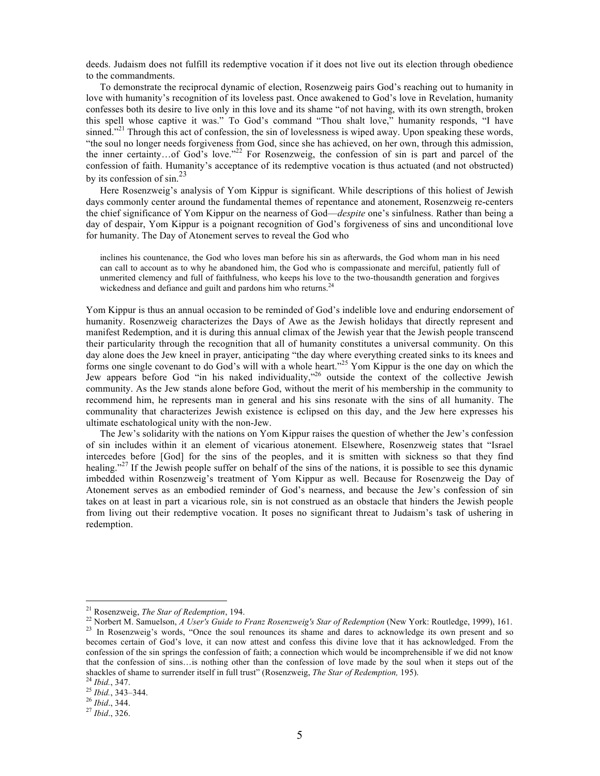deeds. Judaism does not fulfill its redemptive vocation if it does not live out its election through obedience to the commandments.

To demonstrate the reciprocal dynamic of election, Rosenzweig pairs God's reaching out to humanity in love with humanity's recognition of its loveless past. Once awakened to God's love in Revelation, humanity confesses both its desire to live only in this love and its shame "of not having, with its own strength, broken this spell whose captive it was." To God's command "Thou shalt love," humanity responds, "I have sinned."<sup>21</sup> Through this act of confession, the sin of lovelessness is wiped away. Upon speaking these words, "the soul no longer needs forgiveness from God, since she has achieved, on her own, through this admission, the inner certainty…of God's love."22 For Rosenzweig, the confession of sin is part and parcel of the confession of faith. Humanity's acceptance of its redemptive vocation is thus actuated (and not obstructed) by its confession of sin.<sup>23</sup>

Here Rosenzweig's analysis of Yom Kippur is significant. While descriptions of this holiest of Jewish days commonly center around the fundamental themes of repentance and atonement, Rosenzweig re-centers the chief significance of Yom Kippur on the nearness of God—*despite* one's sinfulness. Rather than being a day of despair, Yom Kippur is a poignant recognition of God's forgiveness of sins and unconditional love for humanity. The Day of Atonement serves to reveal the God who

inclines his countenance, the God who loves man before his sin as afterwards, the God whom man in his need can call to account as to why he abandoned him, the God who is compassionate and merciful, patiently full of unmerited clemency and full of faithfulness, who keeps his love to the two-thousandth generation and forgives wickedness and defiance and guilt and pardons him who returns.<sup>24</sup>

Yom Kippur is thus an annual occasion to be reminded of God's indelible love and enduring endorsement of humanity. Rosenzweig characterizes the Days of Awe as the Jewish holidays that directly represent and manifest Redemption, and it is during this annual climax of the Jewish year that the Jewish people transcend their particularity through the recognition that all of humanity constitutes a universal community. On this day alone does the Jew kneel in prayer, anticipating "the day where everything created sinks to its knees and forms one single covenant to do God's will with a whole heart."<sup>25</sup> Yom Kippur is the one day on which the Jew appears before God "in his naked individuality,"<sup>26</sup> outside the context of the collective Jewish community. As the Jew stands alone before God, without the merit of his membership in the community to recommend him, he represents man in general and his sins resonate with the sins of all humanity. The communality that characterizes Jewish existence is eclipsed on this day, and the Jew here expresses his ultimate eschatological unity with the non-Jew.

The Jew's solidarity with the nations on Yom Kippur raises the question of whether the Jew's confession of sin includes within it an element of vicarious atonement. Elsewhere, Rosenzweig states that "Israel intercedes before [God] for the sins of the peoples, and it is smitten with sickness so that they find healing."<sup>27</sup> If the Jewish people suffer on behalf of the sins of the nations, it is possible to see this dynamic imbedded within Rosenzweig's treatment of Yom Kippur as well. Because for Rosenzweig the Day of Atonement serves as an embodied reminder of God's nearness, and because the Jew's confession of sin takes on at least in part a vicarious role, sin is not construed as an obstacle that hinders the Jewish people from living out their redemptive vocation. It poses no significant threat to Judaism's task of ushering in redemption.

<sup>&</sup>lt;sup>21</sup> Rosenzweig, *The Star of Redemption*, 194.<br><sup>22</sup> Norbert M. Samuelson, *A User's Guide to Franz Rosenzweig's Star of Redemption* (New York: Routledge, 1999), 161.<br><sup>23</sup> In Rosenzweig's words, "Once the soul renounces i becomes certain of God's love, it can now attest and confess this divine love that it has acknowledged. From the confession of the sin springs the confession of faith; a connection which would be incomprehensible if we did not know that the confession of sins…is nothing other than the confession of love made by the soul when it steps out of the shackles of shame to surrender itself in full trust" (Rosenzweig, *The Star of Redemption,* 195). <sup>24</sup> *Ibid.*, 347. <sup>25</sup> *Ibid.*, 343–344. <sup>26</sup> *Ibid*., 344. <sup>27</sup> *Ibid*., 326.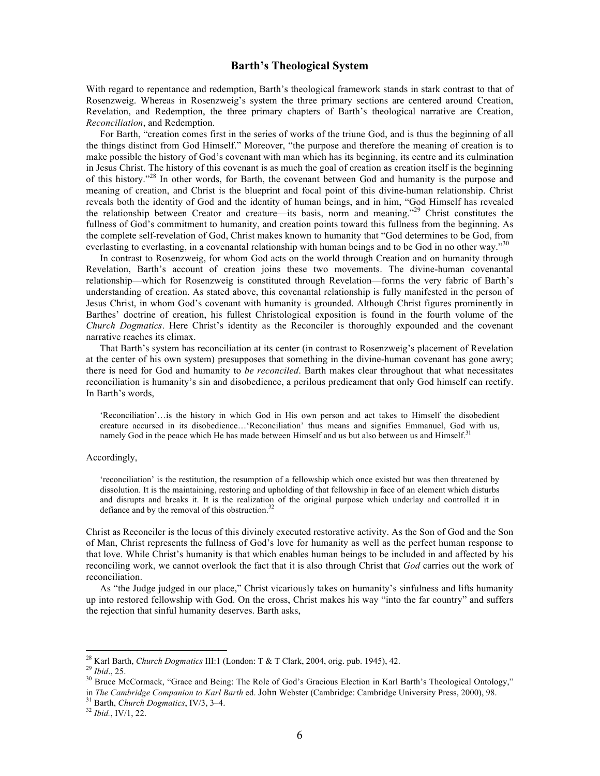# **Barth's Theological System**

With regard to repentance and redemption, Barth's theological framework stands in stark contrast to that of Rosenzweig. Whereas in Rosenzweig's system the three primary sections are centered around Creation, Revelation, and Redemption, the three primary chapters of Barth's theological narrative are Creation, *Reconciliation*, and Redemption.

For Barth, "creation comes first in the series of works of the triune God, and is thus the beginning of all the things distinct from God Himself." Moreover, "the purpose and therefore the meaning of creation is to make possible the history of God's covenant with man which has its beginning, its centre and its culmination in Jesus Christ. The history of this covenant is as much the goal of creation as creation itself is the beginning of this history."28 In other words, for Barth, the covenant between God and humanity is the purpose and meaning of creation, and Christ is the blueprint and focal point of this divine-human relationship. Christ reveals both the identity of God and the identity of human beings, and in him, "God Himself has revealed the relationship between Creator and creature—its basis, norm and meaning."<sup>29</sup> Christ constitutes the fullness of God's commitment to humanity, and creation points toward this fullness from the beginning. As the complete self-revelation of God, Christ makes known to humanity that "God determines to be God, from everlasting to everlasting, in a covenantal relationship with human beings and to be God in no other way."<sup>30</sup>

In contrast to Rosenzweig, for whom God acts on the world through Creation and on humanity through Revelation, Barth's account of creation joins these two movements. The divine-human covenantal relationship—which for Rosenzweig is constituted through Revelation—forms the very fabric of Barth's understanding of creation. As stated above, this covenantal relationship is fully manifested in the person of Jesus Christ, in whom God's covenant with humanity is grounded. Although Christ figures prominently in Barthes' doctrine of creation, his fullest Christological exposition is found in the fourth volume of the *Church Dogmatics*. Here Christ's identity as the Reconciler is thoroughly expounded and the covenant narrative reaches its climax.

That Barth's system has reconciliation at its center (in contrast to Rosenzweig's placement of Revelation at the center of his own system) presupposes that something in the divine-human covenant has gone awry; there is need for God and humanity to *be reconciled*. Barth makes clear throughout that what necessitates reconciliation is humanity's sin and disobedience, a perilous predicament that only God himself can rectify. In Barth's words,

'Reconciliation'…is the history in which God in His own person and act takes to Himself the disobedient creature accursed in its disobedience…'Reconciliation' thus means and signifies Emmanuel, God with us, namely God in the peace which He has made between Himself and us but also between us and Himself.<sup>3</sup>

#### Accordingly,

'reconciliation' is the restitution, the resumption of a fellowship which once existed but was then threatened by dissolution. It is the maintaining, restoring and upholding of that fellowship in face of an element which disturbs and disrupts and breaks it. It is the realization of the original purpose which underlay and controlled it in defiance and by the removal of this obstruction. $32$ 

Christ as Reconciler is the locus of this divinely executed restorative activity. As the Son of God and the Son of Man, Christ represents the fullness of God's love for humanity as well as the perfect human response to that love. While Christ's humanity is that which enables human beings to be included in and affected by his reconciling work, we cannot overlook the fact that it is also through Christ that *God* carries out the work of reconciliation.

As "the Judge judged in our place," Christ vicariously takes on humanity's sinfulness and lifts humanity up into restored fellowship with God. On the cross, Christ makes his way "into the far country" and suffers the rejection that sinful humanity deserves. Barth asks,

<sup>&</sup>lt;sup>28</sup> Karl Barth, *Church Dogmatics* III:1 (London: T & T Clark, 2004, orig. pub. 1945), 42.<br><sup>29</sup> Ibid., 25.<br><sup>30</sup> Bruce McCormack, "Grace and Being: The Role of God's Gracious Election in Karl Barth's Theological Ontology, in *The Cambridge Companion to Karl Barth* ed. John Webster (Cambridge: Cambridge University Press, 2000), 98.<br><sup>31</sup> Barth, *Church Dogmatics*, IV/3, 3–4.<br><sup>32</sup> *Ibid.*, IV/1, 22.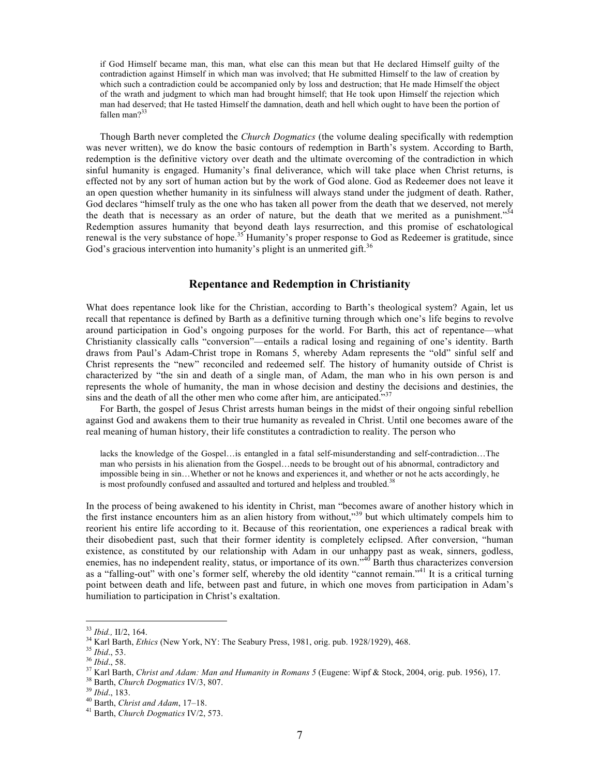if God Himself became man, this man, what else can this mean but that He declared Himself guilty of the contradiction against Himself in which man was involved; that He submitted Himself to the law of creation by which such a contradiction could be accompanied only by loss and destruction; that He made Himself the object of the wrath and judgment to which man had brought himself; that He took upon Himself the rejection which man had deserved; that He tasted Himself the damnation, death and hell which ought to have been the portion of fallen man $?$ <sup>33</sup>

Though Barth never completed the *Church Dogmatics* (the volume dealing specifically with redemption was never written), we do know the basic contours of redemption in Barth's system. According to Barth, redemption is the definitive victory over death and the ultimate overcoming of the contradiction in which sinful humanity is engaged. Humanity's final deliverance, which will take place when Christ returns, is effected not by any sort of human action but by the work of God alone. God as Redeemer does not leave it an open question whether humanity in its sinfulness will always stand under the judgment of death. Rather, God declares "himself truly as the one who has taken all power from the death that we deserved, not merely the death that is necessary as an order of nature, but the death that we merited as a punishment.<sup>34</sup> Redemption assures humanity that beyond death lays resurrection, and this promise of eschatological renewal is the very substance of hope.<sup>35</sup> Humanity's proper response to God as Redeemer is gratitude, since God's gracious intervention into humanity's plight is an unmerited gift.<sup>36</sup>

#### **Repentance and Redemption in Christianity**

What does repentance look like for the Christian, according to Barth's theological system? Again, let us recall that repentance is defined by Barth as a definitive turning through which one's life begins to revolve around participation in God's ongoing purposes for the world. For Barth, this act of repentance—what Christianity classically calls "conversion"—entails a radical losing and regaining of one's identity. Barth draws from Paul's Adam-Christ trope in Romans 5, whereby Adam represents the "old" sinful self and Christ represents the "new" reconciled and redeemed self. The history of humanity outside of Christ is characterized by "the sin and death of a single man, of Adam, the man who in his own person is and represents the whole of humanity, the man in whose decision and destiny the decisions and destinies, the sins and the death of all the other men who come after him, are anticipated." $37$ 

For Barth, the gospel of Jesus Christ arrests human beings in the midst of their ongoing sinful rebellion against God and awakens them to their true humanity as revealed in Christ. Until one becomes aware of the real meaning of human history, their life constitutes a contradiction to reality. The person who

lacks the knowledge of the Gospel…is entangled in a fatal self-misunderstanding and self-contradiction…The man who persists in his alienation from the Gospel…needs to be brought out of his abnormal, contradictory and impossible being in sin…Whether or not he knows and experiences it, and whether or not he acts accordingly, he is most profoundly confused and assaulted and tortured and helpless and troubled.<sup>38</sup>

In the process of being awakened to his identity in Christ, man "becomes aware of another history which in the first instance encounters him as an alien history from without,"<sup>39</sup> but which ultimately compels him to reorient his entire life according to it. Because of this reorientation, one experiences a radical break with their disobedient past, such that their former identity is completely eclipsed. After conversion, "human existence, as constituted by our relationship with Adam in our unhappy past as weak, sinners, godless, enemies, has no independent reality, status, or importance of its own."<sup>40</sup> Barth thus characterizes conversion as a "falling-out" with one's former self, whereby the old identity "cannot remain."<sup>41</sup> It is a critical turning point between death and life, between past and future, in which one moves from participation in Adam's humiliation to participation in Christ's exaltation.

<sup>&</sup>lt;sup>33</sup> *Ibid.*, II/2, 164.<br><sup>34</sup> Karl Barth, *Ethics* (New York, NY: The Seabury Press, 1981, orig. pub. 1928/1929), 468.<br><sup>35</sup> *Ibid.*, 53.<br><sup>36</sup> *Ibid.*, 58.<br><sup>37</sup> Karl Barth, *Christ and Adam: Man and Humanity in Romans 5* (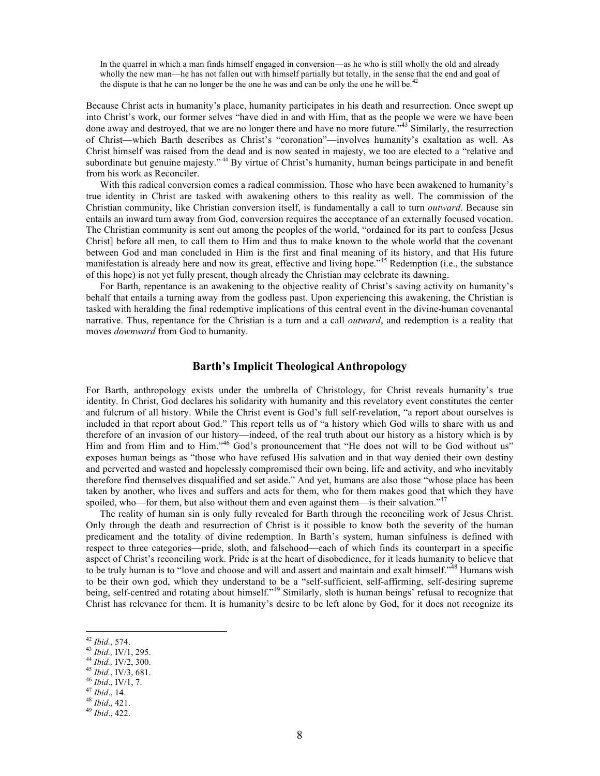In the quarrel in which a man finds himself engaged in conversion—as he who is still wholly the old and already wholly the new man—he has not fallen out with himself partially but totally, in the sense that the end and goal of the dispute is that he can no longer be the one he was and can be only the one he will be.<sup>42</sup>

Because Christ acts in humanity's place, humanity participates in his death and resurrection. Once swept up into Christ's work, our former selves "have died in and with Him, that as the people we were we have been done away and destroyed, that we are no longer there and have no more future.<sup>43</sup> Similarly, the resurrection of Christ—which Barth describes as Christ's "coronation"—involves humanity's exaltation as well. As Christ himself was raised from the dead and is now seated in majesty, we too are elected to a "relative and subordinate but genuine majesty."<sup>44</sup> By virtue of Christ's humanity, human beings participate in and benefit from his work as Reconciler.

With this radical conversion comes a radical commission. Those who have been awakened to humanity's true identity in Christ are tasked with awakening others to this reality as well. The commission of the Christian community, like Christian conversion itself, is fundamentally a call to turn *outward*. Because sin entails an inward turn away from God, conversion requires the acceptance of an externally focused vocation. The Christian community is sent out among the peoples of the world, "ordained for its part to confess [Jesus Christ] before all men, to call them to Him and thus to make known to the whole world that the covenant between God and man concluded in Him is the first and final meaning of its history, and that His future manifestation is already here and now its great, effective and living hope.<sup>345</sup> Redemption (i.e., the substance of this hope) is not yet fully present, though already the Christian may celebrate its dawning.

For Barth, repentance is an awakening to the objective reality of Christ's saving activity on humanity's behalf that entails a turning away from the godless past. Upon experiencing this awakening, the Christian is tasked with heralding the final redemptive implications of this central event in the divine-human covenantal narrative. Thus, repentance for the Christian is a turn and a call *outward*, and redemption is a reality that moves *downward* from God to humanity.

#### **Barth's Implicit Theological Anthropology**

For Barth, anthropology exists under the umbrella of Christology, for Christ reveals humanity's true identity. In Christ, God declares his solidarity with humanity and this revelatory event constitutes the center and fulcrum of all history. While the Christ event is God's full self-revelation, "a report about ourselves is included in that report about God." This report tells us of "a history which God wills to share with us and therefore of an invasion of our history—indeed, of the real truth about our history as a history which is by Him and from Him and to Him."<sup>46</sup> God's pronouncement that "He does not will to be God without us" exposes human beings as "those who have refused His salvation and in that way denied their own destiny and perverted and wasted and hopelessly compromised their own being, life and activity, and who inevitably therefore find themselves disqualified and set aside." And yet, humans are also those "whose place has been taken by another, who lives and suffers and acts for them, who for them makes good that which they have spoiled, who—for them, but also without them and even against them—is their salvation."<sup>47</sup>

The reality of human sin is only fully revealed for Barth through the reconciling work of Jesus Christ. Only through the death and resurrection of Christ is it possible to know both the severity of the human predicament and the totality of divine redemption. In Barth's system, human sinfulness is defined with respect to three categories—pride, sloth, and falsehood—each of which finds its counterpart in a specific aspect of Christ's reconciling work. Pride is at the heart of disobedience, for it leads humanity to believe that to be truly human is to "love and choose and will and assert and maintain and exalt himself."<sup>48</sup> Humans wish to be their own god, which they understand to be a "self-sufficient, self-affirming, self-desiring supreme being, self-centred and rotating about himself."<sup>49</sup> Similarly, sloth is human beings' refusal to recognize that Christ has relevance for them. It is humanity's desire to be left alone by God, for it does not recognize its

 <sup>42</sup> *Ibid.*, 574. 43 *Ibid.,* IV/1, 295. 44 *Ibid.,* IV/2, 300. 45 *Ibid.*, IV/3, 681. 46 *Ibid*., IV/1, 7. 47 *Ibid*., 14. 48 *Ibid*., 421. 49 *Ibid*., 422.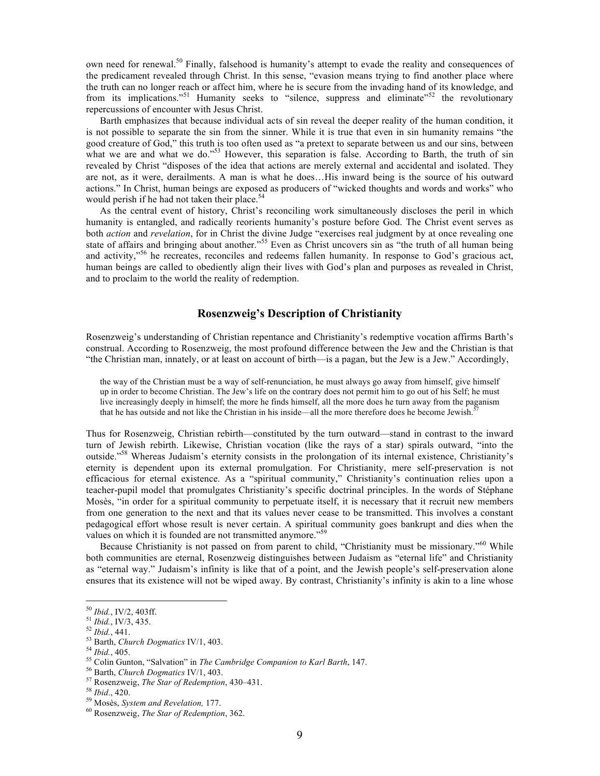own need for renewal.<sup>50</sup> Finally, falsehood is humanity's attempt to evade the reality and consequences of the predicament revealed through Christ. In this sense, "evasion means trying to find another place where the truth can no longer reach or affect him, where he is secure from the invading hand of its knowledge, and from its implications."<sup>51</sup> Humanity seeks to "silence, suppress and eliminate"<sup>52</sup> the revolutionary repercussions of encounter with Jesus Christ.

Barth emphasizes that because individual acts of sin reveal the deeper reality of the human condition, it is not possible to separate the sin from the sinner. While it is true that even in sin humanity remains "the good creature of God," this truth is too often used as "a pretext to separate between us and our sins, between what we are and what we do."<sup>53</sup> However, this separation is false. According to Barth, the truth of sin revealed by Christ "disposes of the idea that actions are merely external and accidental and isolated. They are not, as it were, derailments. A man is what he does…His inward being is the source of his outward actions." In Christ, human beings are exposed as producers of "wicked thoughts and words and works" who would perish if he had not taken their place.<sup>54</sup>

As the central event of history, Christ's reconciling work simultaneously discloses the peril in which humanity is entangled, and radically reorients humanity's posture before God. The Christ event serves as both *action* and *revelation*, for in Christ the divine Judge "exercises real judgment by at once revealing one state of affairs and bringing about another."<sup>55</sup> Even as Christ uncovers sin as "the truth of all human being and activity,"56 he recreates, reconciles and redeems fallen humanity. In response to God's gracious act, human beings are called to obediently align their lives with God's plan and purposes as revealed in Christ, and to proclaim to the world the reality of redemption.

# **Rosenzweig's Description of Christianity**

Rosenzweig's understanding of Christian repentance and Christianity's redemptive vocation affirms Barth's construal. According to Rosenzweig, the most profound difference between the Jew and the Christian is that "the Christian man, innately, or at least on account of birth—is a pagan, but the Jew is a Jew." Accordingly,

the way of the Christian must be a way of self-renunciation, he must always go away from himself, give himself up in order to become Christian. The Jew's life on the contrary does not permit him to go out of his Self; he must live increasingly deeply in himself; the more he finds himself, all the more does he turn away from the paganism that he has outside and not like the Christian in his inside—all the more therefore does he become Jewish.<sup>5</sup>

Thus for Rosenzweig, Christian rebirth—constituted by the turn outward—stand in contrast to the inward turn of Jewish rebirth. Likewise, Christian vocation (like the rays of a star) spirals outward, "into the outside."<sup>58</sup> Whereas Judaism's eternity consists in the prolongation of its internal existence, Christianity's eternity is dependent upon its external promulgation. For Christianity, mere self-preservation is not efficacious for eternal existence. As a "spiritual community," Christianity's continuation relies upon a teacher-pupil model that promulgates Christianity's specific doctrinal principles. In the words of Stéphane Mosès, "in order for a spiritual community to perpetuate itself, it is necessary that it recruit new members from one generation to the next and that its values never cease to be transmitted. This involves a constant pedagogical effort whose result is never certain. A spiritual community goes bankrupt and dies when the values on which it is founded are not transmitted anymore."<sup>59</sup>

Because Christianity is not passed on from parent to child, "Christianity must be missionary."<sup>60</sup> While both communities are eternal, Rosenzweig distinguishes between Judaism as "eternal life" and Christianity as "eternal way." Judaism's infinity is like that of a point, and the Jewish people's self-preservation alone ensures that its existence will not be wiped away. By contrast, Christianity's infinity is akin to a line whose

<sup>&</sup>lt;sup>50</sup> Ibid., IV/2, 403ff.<br><sup>51</sup> Ibid., IV/3, 435.<br><sup>52</sup> Ibid., 441.<br><sup>53</sup> Barth, *Church Dogmatics IV/1*, 403.<br><sup>54</sup> Ibid., 405.<br><sup>55</sup> Colin Gunton, "Salvation" in *The Cambridge Companion to Karl Barth*, 147.<br><sup>56</sup> Barth, *Churc*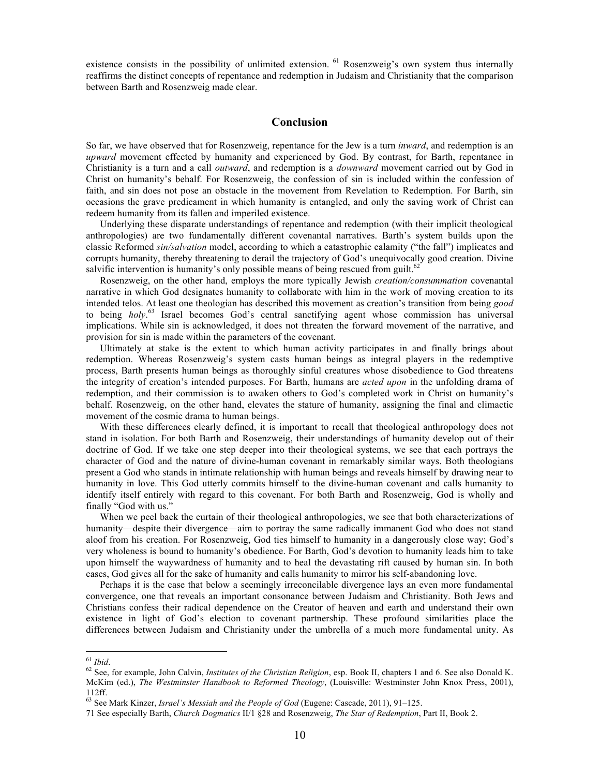existence consists in the possibility of unlimited extension. <sup>61</sup> Rosenzweig's own system thus internally reaffirms the distinct concepts of repentance and redemption in Judaism and Christianity that the comparison between Barth and Rosenzweig made clear.

#### **Conclusion**

So far, we have observed that for Rosenzweig, repentance for the Jew is a turn *inward*, and redemption is an *upward* movement effected by humanity and experienced by God. By contrast, for Barth, repentance in Christianity is a turn and a call *outward*, and redemption is a *downward* movement carried out by God in Christ on humanity's behalf. For Rosenzweig, the confession of sin is included within the confession of faith, and sin does not pose an obstacle in the movement from Revelation to Redemption. For Barth, sin occasions the grave predicament in which humanity is entangled, and only the saving work of Christ can redeem humanity from its fallen and imperiled existence.

Underlying these disparate understandings of repentance and redemption (with their implicit theological anthropologies) are two fundamentally different covenantal narratives. Barth's system builds upon the classic Reformed *sin/salvation* model, according to which a catastrophic calamity ("the fall") implicates and corrupts humanity, thereby threatening to derail the trajectory of God's unequivocally good creation. Divine salvific intervention is humanity's only possible means of being rescued from guilt.<sup>62</sup>

Rosenzweig, on the other hand, employs the more typically Jewish *creation/consummation* covenantal narrative in which God designates humanity to collaborate with him in the work of moving creation to its intended telos. At least one theologian has described this movement as creation's transition from being *good* to being *holy*. 63 Israel becomes God's central sanctifying agent whose commission has universal implications. While sin is acknowledged, it does not threaten the forward movement of the narrative, and provision for sin is made within the parameters of the covenant.

Ultimately at stake is the extent to which human activity participates in and finally brings about redemption. Whereas Rosenzweig's system casts human beings as integral players in the redemptive process, Barth presents human beings as thoroughly sinful creatures whose disobedience to God threatens the integrity of creation's intended purposes. For Barth, humans are *acted upon* in the unfolding drama of redemption, and their commission is to awaken others to God's completed work in Christ on humanity's behalf. Rosenzweig, on the other hand, elevates the stature of humanity, assigning the final and climactic movement of the cosmic drama to human beings.

With these differences clearly defined, it is important to recall that theological anthropology does not stand in isolation. For both Barth and Rosenzweig, their understandings of humanity develop out of their doctrine of God. If we take one step deeper into their theological systems, we see that each portrays the character of God and the nature of divine-human covenant in remarkably similar ways. Both theologians present a God who stands in intimate relationship with human beings and reveals himself by drawing near to humanity in love. This God utterly commits himself to the divine-human covenant and calls humanity to identify itself entirely with regard to this covenant. For both Barth and Rosenzweig, God is wholly and finally "God with us."

When we peel back the curtain of their theological anthropologies, we see that both characterizations of humanity—despite their divergence—aim to portray the same radically immanent God who does not stand aloof from his creation. For Rosenzweig, God ties himself to humanity in a dangerously close way; God's very wholeness is bound to humanity's obedience. For Barth, God's devotion to humanity leads him to take upon himself the waywardness of humanity and to heal the devastating rift caused by human sin. In both cases, God gives all for the sake of humanity and calls humanity to mirror his self-abandoning love.

Perhaps it is the case that below a seemingly irreconcilable divergence lays an even more fundamental convergence, one that reveals an important consonance between Judaism and Christianity. Both Jews and Christians confess their radical dependence on the Creator of heaven and earth and understand their own existence in light of God's election to covenant partnership. These profound similarities place the differences between Judaism and Christianity under the umbrella of a much more fundamental unity. As

<sup>61</sup> *Ibid*. <sup>62</sup> See, for example, John Calvin, *Institutes of the Christian Religion*, esp. Book II, chapters 1 and 6. See also Donald K. McKim (ed.), *The Westminster Handbook to Reformed Theology*, (Louisville: Westminster John Knox Press, 2001), 112ff.

<sup>63</sup> See Mark Kinzer, *Israel's Messiah and the People of God* (Eugene: Cascade, 2011), 91–125.

<sup>71</sup> See especially Barth, *Church Dogmatics* II/1 §28 and Rosenzweig, *The Star of Redemption*, Part II, Book 2.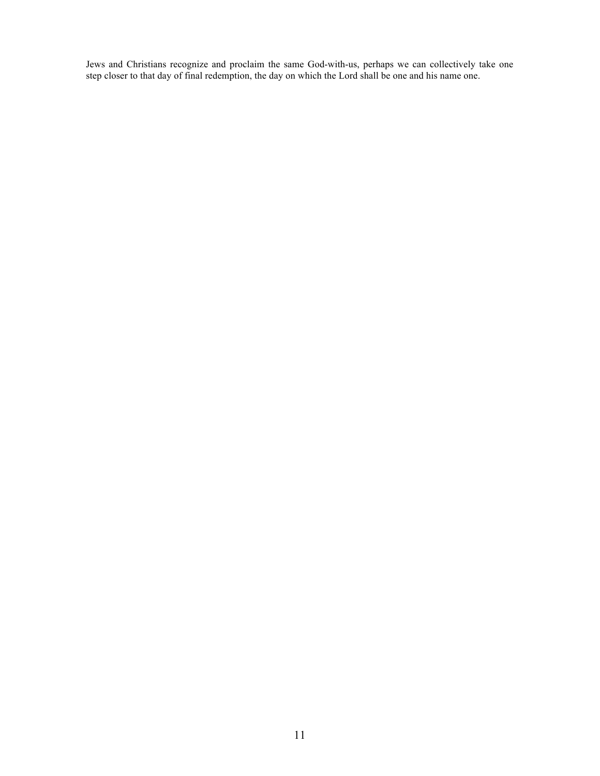Jews and Christians recognize and proclaim the same God-with-us, perhaps we can collectively take one step closer to that day of final redemption, the day on which the Lord shall be one and his name one.